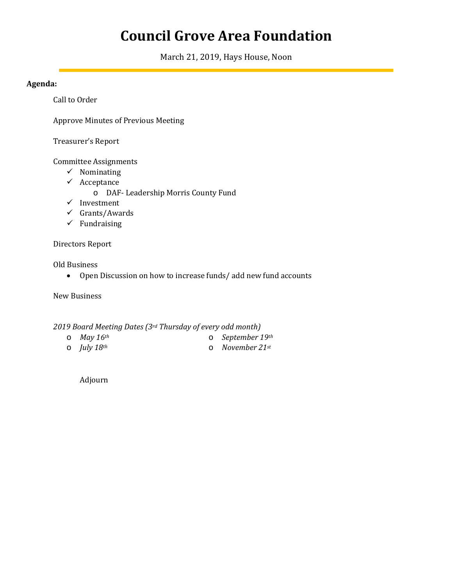# **Council Grove Area Foundation**

March 21, 2019, Hays House, Noon

# **Agenda:**

Call to Order

Approve Minutes of Previous Meeting

Treasurer's Report

Committee Assignments

- $\checkmark$  Nominating
- $\checkmark$  Acceptance
	- o DAF- Leadership Morris County Fund
- $\checkmark$  Investment
- $\checkmark$  Grants/Awards
- $\checkmark$  Fundraising

# Directors Report

Old Business

• Open Discussion on how to increase funds/ add new fund accounts

New Business

# *2019 Board Meeting Dates (3rd Thursday of every odd month)*

- o *May 16th*
- o *July 18th*

o *September 19th* o *November 21st*

Adjourn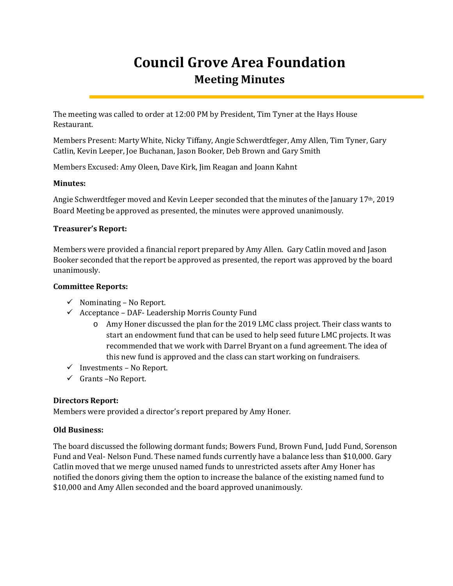# **Council Grove Area Foundation Meeting Minutes**

The meeting was called to order at 12:00 PM by President, Tim Tyner at the Hays House Restaurant.

Members Present: Marty White, Nicky Tiffany, Angie Schwerdtfeger, Amy Allen, Tim Tyner, Gary Catlin, Kevin Leeper, Joe Buchanan, Jason Booker, Deb Brown and Gary Smith

Members Excused: Amy Oleen, Dave Kirk, Jim Reagan and Joann Kahnt

# **Minutes:**

Angie Schwerdtfeger moved and Kevin Leeper seconded that the minutes of the January 17th, 2019 Board Meeting be approved as presented, the minutes were approved unanimously.

#### **Treasurer's Report:**

Members were provided a financial report prepared by Amy Allen. Gary Catlin moved and Jason Booker seconded that the report be approved as presented, the report was approved by the board unanimously.

#### **Committee Reports:**

- $\checkmark$  Nominating No Report.
- $\checkmark$  Acceptance DAF- Leadership Morris County Fund
	- o Amy Honer discussed the plan for the 2019 LMC class project. Their class wants to start an endowment fund that can be used to help seed future LMC projects. It was recommended that we work with Darrel Bryant on a fund agreement. The idea of this new fund is approved and the class can start working on fundraisers.
- $\checkmark$  Investments No Report.
- $\checkmark$  Grants –No Report.

# **Directors Report:**

Members were provided a director's report prepared by Amy Honer.

# **Old Business:**

The board discussed the following dormant funds; Bowers Fund, Brown Fund, Judd Fund, Sorenson Fund and Veal- Nelson Fund. These named funds currently have a balance less than \$10,000. Gary Catlin moved that we merge unused named funds to unrestricted assets after Amy Honer has notified the donors giving them the option to increase the balance of the existing named fund to \$10,000 and Amy Allen seconded and the board approved unanimously.